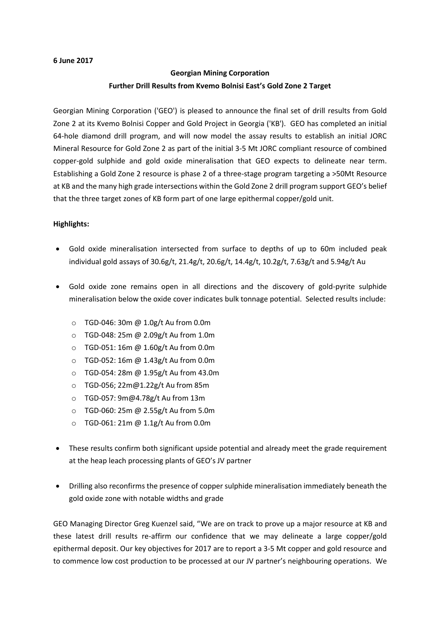### **6 June 2017**

# **Georgian Mining Corporation Further Drill Results from Kvemo Bolnisi East's Gold Zone 2 Target**

Georgian Mining Corporation ('GEO') is pleased to announce the final set of drill results from Gold Zone 2 at its Kvemo Bolnisi Copper and Gold Project in Georgia ('KB'). GEO has completed an initial 64-hole diamond drill program, and will now model the assay results to establish an initial JORC Mineral Resource for Gold Zone 2 as part of the initial 3-5 Mt JORC compliant resource of combined copper-gold sulphide and gold oxide mineralisation that GEO expects to delineate near term. Establishing a Gold Zone 2 resource is phase 2 of a three-stage program targeting a >50Mt Resource at KB and the many high grade intersections within the Gold Zone 2 drill program support GEO's belief that the three target zones of KB form part of one large epithermal copper/gold unit.

## **Highlights:**

- Gold oxide mineralisation intersected from surface to depths of up to 60m included peak individual gold assays of 30.6g/t, 21.4g/t, 20.6g/t, 14.4g/t, 10.2g/t, 7.63g/t and 5.94g/t Au
- Gold oxide zone remains open in all directions and the discovery of gold-pyrite sulphide mineralisation below the oxide cover indicates bulk tonnage potential. Selected results include:
	- o TGD-046: 30m @ 1.0g/t Au from 0.0m
	- o TGD-048: 25m @ 2.09g/t Au from 1.0m
	- o TGD-051: 16m @ 1.60g/t Au from 0.0m
	- o TGD-052: 16m @ 1.43g/t Au from 0.0m
	- o TGD-054: 28m @ 1.95g/t Au from 43.0m
	- o TGD-056; 22m@1.22g/t Au from 85m
	- o TGD-057: 9m@4.78g/t Au from 13m
	- o TGD-060: 25m @ 2.55g/t Au from 5.0m
	- o TGD-061: 21m @ 1.1g/t Au from 0.0m
- These results confirm both significant upside potential and already meet the grade requirement at the heap leach processing plants of GEO's JV partner
- Drilling also reconfirms the presence of copper sulphide mineralisation immediately beneath the gold oxide zone with notable widths and grade

GEO Managing Director Greg Kuenzel said, "We are on track to prove up a major resource at KB and these latest drill results re-affirm our confidence that we may delineate a large copper/gold epithermal deposit. Our key objectives for 2017 are to report a 3-5 Mt copper and gold resource and to commence low cost production to be processed at our JV partner's neighbouring operations. We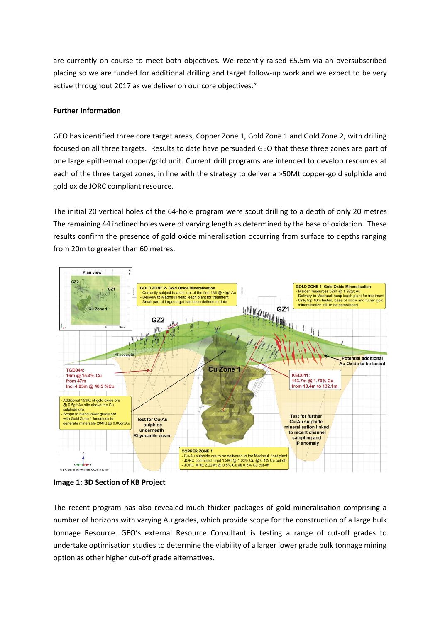are currently on course to meet both objectives. We recently raised £5.5m via an oversubscribed placing so we are funded for additional drilling and target follow-up work and we expect to be very active throughout 2017 as we deliver on our core objectives."

# **Further Information**

GEO has identified three core target areas, Copper Zone 1, Gold Zone 1 and Gold Zone 2, with drilling focused on all three targets. Results to date have persuaded GEO that these three zones are part of one large epithermal copper/gold unit. Current drill programs are intended to develop resources at each of the three target zones, in line with the strategy to deliver a >50Mt copper-gold sulphide and gold oxide JORC compliant resource.

The initial 20 vertical holes of the 64-hole program were scout drilling to a depth of only 20 metres The remaining 44 inclined holes were of varying length as determined by the base of oxidation. These results confirm the presence of gold oxide mineralisation occurring from surface to depths ranging from 20m to greater than 60 metres.





The recent program has also revealed much thicker packages of gold mineralisation comprising a number of horizons with varying Au grades, which provide scope for the construction of a large bulk tonnage Resource. GEO's external Resource Consultant is testing a range of cut-off grades to undertake optimisation studies to determine the viability of a larger lower grade bulk tonnage mining option as other higher cut-off grade alternatives.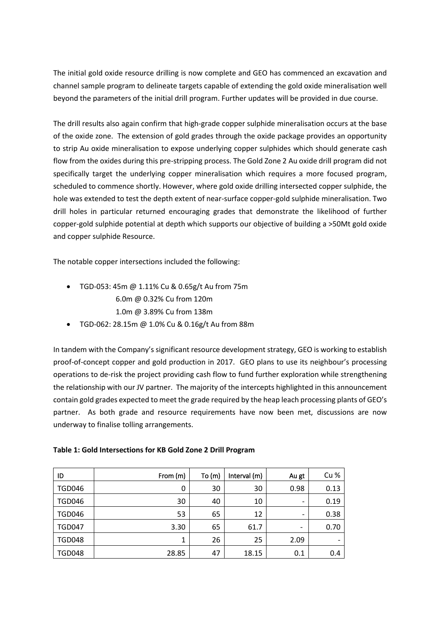The initial gold oxide resource drilling is now complete and GEO has commenced an excavation and channel sample program to delineate targets capable of extending the gold oxide mineralisation well beyond the parameters of the initial drill program. Further updates will be provided in due course.

The drill results also again confirm that high-grade copper sulphide mineralisation occurs at the base of the oxide zone. The extension of gold grades through the oxide package provides an opportunity to strip Au oxide mineralisation to expose underlying copper sulphides which should generate cash flow from the oxides during this pre-stripping process. The Gold Zone 2 Au oxide drill program did not specifically target the underlying copper mineralisation which requires a more focused program, scheduled to commence shortly. However, where gold oxide drilling intersected copper sulphide, the hole was extended to test the depth extent of near-surface copper-gold sulphide mineralisation. Two drill holes in particular returned encouraging grades that demonstrate the likelihood of further copper-gold sulphide potential at depth which supports our objective of building a >50Mt gold oxide and copper sulphide Resource.

The notable copper intersections included the following:

- TGD-053: 45m @ 1.11% Cu & 0.65g/t Au from 75m 6.0m @ 0.32% Cu from 120m 1.0m @ 3.89% Cu from 138m
- TGD-062: 28.15m @ 1.0% Cu & 0.16g/t Au from 88m

In tandem with the Company's significant resource development strategy, GEO is working to establish proof-of-concept copper and gold production in 2017. GEO plans to use its neighbour's processing operations to de-risk the project providing cash flow to fund further exploration while strengthening the relationship with our JV partner. The majority of the intercepts highlighted in this announcement contain gold grades expected to meet the grade required by the heap leach processing plants of GEO's partner. As both grade and resource requirements have now been met, discussions are now underway to finalise tolling arrangements.

| ID            | From (m) | To(m) | Interval (m) | Au gt                    | Cu %                     |
|---------------|----------|-------|--------------|--------------------------|--------------------------|
| <b>TGD046</b> | 0        | 30    | 30           | 0.98                     | 0.13                     |
| <b>TGD046</b> | 30       | 40    | 10           | -                        | 0.19                     |
| <b>TGD046</b> | 53       | 65    | 12           | -                        | 0.38                     |
| <b>TGD047</b> | 3.30     | 65    | 61.7         | $\overline{\phantom{a}}$ | 0.70                     |
| <b>TGD048</b> | 1        | 26    | 25           | 2.09                     | $\overline{\phantom{0}}$ |
| <b>TGD048</b> | 28.85    | 47    | 18.15        | 0.1                      | 0.4                      |

### **Table 1: Gold Intersections for KB Gold Zone 2 Drill Program**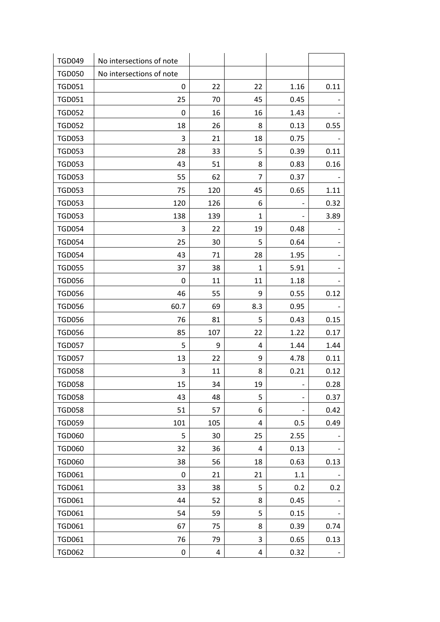| <b>TGD049</b> | No intersections of note |     |     |      |      |
|---------------|--------------------------|-----|-----|------|------|
| <b>TGD050</b> | No intersections of note |     |     |      |      |
| <b>TGD051</b> | 0                        | 22  | 22  | 1.16 | 0.11 |
| <b>TGD051</b> | 25                       | 70  | 45  | 0.45 |      |
| <b>TGD052</b> | 0                        | 16  | 16  | 1.43 |      |
| <b>TGD052</b> | 18                       | 26  | 8   | 0.13 | 0.55 |
| <b>TGD053</b> | 3                        | 21  | 18  | 0.75 |      |
| <b>TGD053</b> | 28                       | 33  | 5   | 0.39 | 0.11 |
| <b>TGD053</b> | 43                       | 51  | 8   | 0.83 | 0.16 |
| <b>TGD053</b> | 55                       | 62  | 7   | 0.37 |      |
| <b>TGD053</b> | 75                       | 120 | 45  | 0.65 | 1.11 |
| <b>TGD053</b> | 120                      | 126 | 6   |      | 0.32 |
| <b>TGD053</b> | 138                      | 139 | 1   |      | 3.89 |
| <b>TGD054</b> | 3                        | 22  | 19  | 0.48 |      |
| <b>TGD054</b> | 25                       | 30  | 5   | 0.64 |      |
| <b>TGD054</b> | 43                       | 71  | 28  | 1.95 |      |
| <b>TGD055</b> | 37                       | 38  | 1   | 5.91 |      |
| <b>TGD056</b> | 0                        | 11  | 11  | 1.18 |      |
| <b>TGD056</b> | 46                       | 55  | 9   | 0.55 | 0.12 |
| <b>TGD056</b> | 60.7                     | 69  | 8.3 | 0.95 |      |
| <b>TGD056</b> | 76                       | 81  | 5   | 0.43 | 0.15 |
| <b>TGD056</b> | 85                       | 107 | 22  | 1.22 | 0.17 |
| <b>TGD057</b> | 5                        | 9   | 4   | 1.44 | 1.44 |
| <b>TGD057</b> | 13                       | 22  | 9   | 4.78 | 0.11 |
| <b>TGD058</b> | 3                        | 11  | 8   | 0.21 | 0.12 |
| <b>TGD058</b> | 15                       | 34  | 19  |      | 0.28 |
| <b>TGD058</b> | 43                       | 48  | 5   |      | 0.37 |
| <b>TGD058</b> | 51                       | 57  | 6   |      | 0.42 |
| <b>TGD059</b> | 101                      | 105 | 4   | 0.5  | 0.49 |
| <b>TGD060</b> | 5                        | 30  | 25  | 2.55 |      |
| <b>TGD060</b> | 32                       | 36  | 4   | 0.13 |      |
| <b>TGD060</b> | 38                       | 56  | 18  | 0.63 | 0.13 |
| <b>TGD061</b> | 0                        | 21  | 21  | 1.1  |      |
| <b>TGD061</b> | 33                       | 38  | 5   | 0.2  | 0.2  |
| <b>TGD061</b> | 44                       | 52  | 8   | 0.45 |      |
| <b>TGD061</b> | 54                       | 59  | 5   | 0.15 |      |
| <b>TGD061</b> | 67                       | 75  | 8   | 0.39 | 0.74 |
| <b>TGD061</b> | 76                       | 79  | 3   | 0.65 | 0.13 |
| <b>TGD062</b> | 0                        | 4   | 4   | 0.32 |      |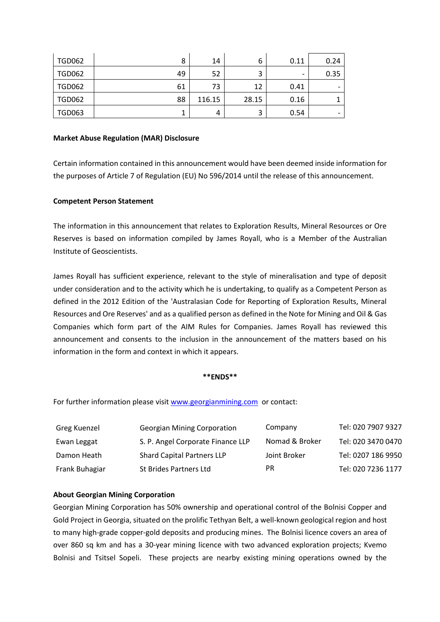| <b>TGD062</b> | 8  | 14     | 6     | 0.11                     | 0.24 |
|---------------|----|--------|-------|--------------------------|------|
| <b>TGD062</b> | 49 | 52     |       | $\overline{\phantom{0}}$ | 0.35 |
| <b>TGD062</b> | 61 | 73     | 12    | 0.41                     |      |
| <b>TGD062</b> | 88 | 116.15 | 28.15 | 0.16                     |      |
| <b>TGD063</b> |    | 4      |       | 0.54                     |      |

#### **Market Abuse Regulation (MAR) Disclosure**

Certain information contained in this announcement would have been deemed inside information for the purposes of Article 7 of Regulation (EU) No 596/2014 until the release of this announcement.

### **Competent Person Statement**

The information in this announcement that relates to Exploration Results, Mineral Resources or Ore Reserves is based on information compiled by James Royall, who is a Member of the Australian Institute of Geoscientists.

James Royall has sufficient experience, relevant to the style of mineralisation and type of deposit under consideration and to the activity which he is undertaking, to qualify as a Competent Person as defined in the 2012 Edition of the 'Australasian Code for Reporting of Exploration Results, Mineral Resources and Ore Reserves' and as a qualified person as defined in the Note for Mining and Oil & Gas Companies which form part of the AIM Rules for Companies. James Royall has reviewed this announcement and consents to the inclusion in the announcement of the matters based on his information in the form and context in which it appears.

#### **\*\*ENDS\*\***

For further information please visit [www.georgianmining.com](http://www.georgianmining.com/) or contact:

| Greg Kuenzel   | <b>Georgian Mining Corporation</b> | Company        | Tel: 020 7907 9327 |
|----------------|------------------------------------|----------------|--------------------|
| Ewan Leggat    | S. P. Angel Corporate Finance LLP  | Nomad & Broker | Tel: 020 3470 0470 |
| Damon Heath    | <b>Shard Capital Partners LLP</b>  | Joint Broker   | Tel: 0207 186 9950 |
| Frank Buhagiar | <b>St Brides Partners Ltd</b>      | PR             | Tel: 020 7236 1177 |

### **About Georgian Mining Corporation**

Georgian Mining Corporation has 50% ownership and operational control of the Bolnisi Copper and Gold Project in Georgia, situated on the prolific Tethyan Belt, a well-known geological region and host to many high-grade copper-gold deposits and producing mines. The Bolnisi licence covers an area of over 860 sq km and has a 30-year mining licence with two advanced exploration projects; Kvemo Bolnisi and Tsitsel Sopeli. These projects are nearby existing mining operations owned by the